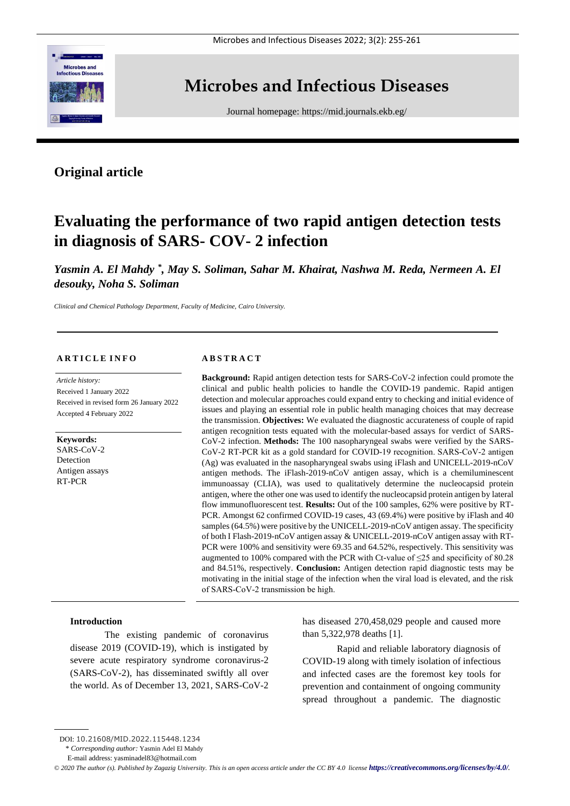

# **Microbes and Infectious Diseases**

Journal homepage:<https://mid.journals.ekb.eg/>

# **Original article**

# **Evaluating the performance of two rapid antigen detection tests in diagnosis of SARS- COV- 2 infection**

Yasmin A. El Mahdy<sup>\*</sup>, May S. Soliman, Sahar M. Khairat, Nashwa M. Reda, Nermeen A. El *desouky, Noha S. Soliman*

*Clinical and Chemical Pathology Department, Faculty of Medicine, Cairo University.*

#### **A R T I C L E I N F O**

*Article history:*  Received 1 January 2022 Received in revised form 26 January 2022 Accepted 4 February 2022

**Keywords:** SARS-CoV-2 **Detection** Antigen assays RT-PCR

#### **A B S T R A C T**

**Background:** Rapid antigen detection tests for SARS-CoV-2 infection could promote the clinical and public health policies to handle the COVID-19 pandemic. Rapid antigen detection and molecular approaches could expand entry to checking and initial evidence of issues and playing an essential role in public health managing choices that may decrease the transmission. **Objectives:** We evaluated the diagnostic accurateness of couple of rapid antigen recognition tests equated with the molecular-based assays for verdict of SARS-CoV-2 infection. **Methods:** The 100 nasopharyngeal swabs were verified by the SARS-CoV-2 RT-PCR kit as a gold standard for COVID-19 recognition. SARS‐CoV‐2 antigen (Ag) was evaluated in the nasopharyngeal swabs using iFlash and UNICELL-2019-nCoV antigen methods. The iFlash-2019-nCoV antigen assay, which is a chemiluminescent immunoassay (CLIA), was used to qualitatively determine the nucleocapsid protein antigen, where the other one was used to identify the nucleocapsid protein antigen by lateral flow immunofluorescent test. **Results:** Out of the 100 samples, 62% were positive by RT-PCR. Amongst 62 confirmed COVID-19 cases, 43 (69.4%) were positive by iFlash and 40 samples (64.5%) were positive by the UNICELL-2019-nCoV antigen assay. The specificity of both I Flash-2019-nCoV antigen assay & UNICELL-2019-nCoV antigen assay with RT-PCR were 100% and sensitivity were 69.35 and 64.52%, respectively. This sensitivity was augmented to 100% compared with the PCR with Ct-value of  $\leq$ 25 and specificity of 80.28 and 84.51%, respectively. **Conclusion:** Antigen detection rapid diagnostic tests may be motivating in the initial stage of the infection when the viral load is elevated, and the risk of SARS‐CoV‐2 transmission be high.

### **Introduction**

The existing pandemic of coronavirus disease 2019 (COVID-19), which is instigated by severe acute respiratory syndrome coronavirus-2 (SARS-CoV-2), has disseminated swiftly all over the world. As of December 13, 2021, SARS-CoV-2 has diseased 270,458,029 people and caused more than 5,322,978 deaths [1].

Rapid and reliable laboratory diagnosis of COVID-19 along with timely isolation of infectious and infected cases are the foremost key tools for prevention and containment of ongoing community spread throughout a pandemic. The diagnostic

DOI: 10.21608/MID.2022.115448.1234

<sup>\*</sup> *Corresponding author:* Yasmin Adel El Mahdy

E-mail address: yasminadel83@hotmail.com

*<sup>©</sup> 2020 The author (s). Published by Zagazig University. This is an open access article under the CC BY 4.0 license <https://creativecommons.org/licenses/by/4.0/>.*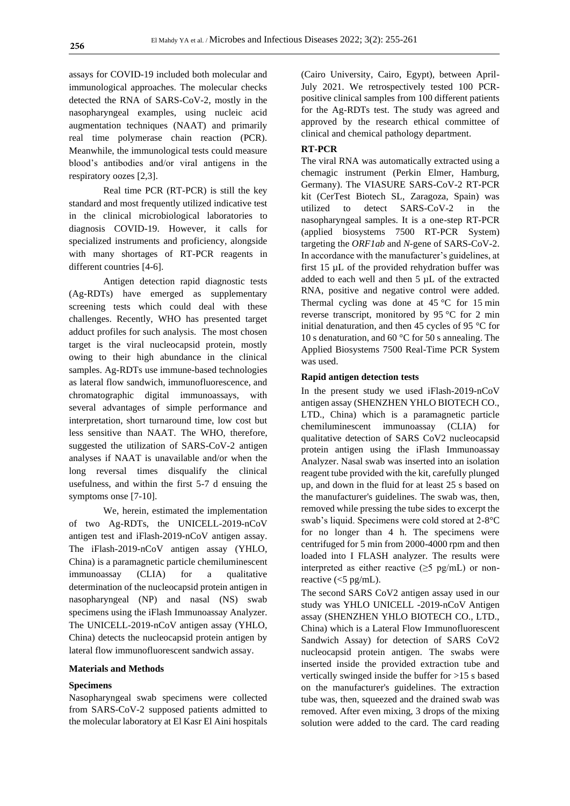assays for COVID-19 included both molecular and immunological approaches. The molecular checks detected the RNA of SARS-CoV-2, mostly in the nasopharyngeal examples, using nucleic acid augmentation techniques (NAAT) and primarily real time polymerase chain reaction (PCR). Meanwhile, the immunological tests could measure blood's antibodies and/or viral antigens in the respiratory oozes [2,3].

Real time PCR (RT-PCR) is still the key standard and most frequently utilized indicative test in the clinical microbiological laboratories to diagnosis COVID-19. However, it calls for specialized instruments and proficiency, alongside with many shortages of RT-PCR reagents in different countries [4-6].

Antigen detection rapid diagnostic tests (Ag-RDTs) have emerged as supplementary screening tests which could deal with these challenges. Recently, WHO has presented target adduct profiles for such analysis. The most chosen target is the viral nucleocapsid protein, mostly owing to their high abundance in the clinical samples. Ag-RDTs use immune-based technologies as lateral flow sandwich, immunofluorescence, and chromatographic digital immunoassays, with several advantages of simple performance and interpretation, short turnaround time, low cost but less sensitive than NAAT. The WHO, therefore, suggested the utilization of SARS-CoV-2 antigen analyses if NAAT is unavailable and/or when the long reversal times disqualify the clinical usefulness, and within the first 5-7 d ensuing the symptoms onse [7-10].

We, herein, estimated the implementation of two Ag-RDTs, the UNICELL-2019-nCoV antigen test and iFlash-2019-nCoV antigen assay. The iFlash-2019-nCoV antigen assay (YHLO, China) is a paramagnetic particle chemiluminescent immunoassay (CLIA) for a qualitative determination of the nucleocapsid protein antigen in nasopharyngeal (NP) and nasal (NS) swab specimens using the iFlash Immunoassay Analyzer. The UNICELL-2019-nCoV antigen assay (YHLO, China) detects the nucleocapsid protein antigen by lateral flow immunofluorescent sandwich assay.

### **Materials and Methods**

### **Specimens**

Nasopharyngeal swab specimens were collected from SARS-CoV-2 supposed patients admitted to the molecular laboratory at El Kasr El Aini hospitals (Cairo University, Cairo, Egypt), between April-July 2021. We retrospectively tested 100 PCRpositive clinical samples from 100 different patients for the Ag-RDTs test. The study was agreed and approved by the research ethical committee of clinical and chemical pathology department.

#### **RT-PCR**

The viral RNA was automatically extracted using a chemagic instrument (Perkin Elmer, Hamburg, Germany). The VIASURE SARS-CoV-2 RT-PCR kit (CerTest Biotech SL, Zaragoza, Spain) was utilized to detect SARS-CoV-2 in the nasopharyngeal samples. It is a one-step RT-PCR (applied biosystems 7500 RT-PCR System) targeting the *ORF1ab* and *N-*gene of SARS-CoV-2. In accordance with the manufacturer's guidelines, at first 15 µL of the provided rehydration buffer was added to each well and then 5 µL of the extracted RNA, positive and negative control were added. Thermal cycling was done at  $45^{\circ}$ C for 15 min reverse transcript, monitored by 95 °C for 2 min initial denaturation, and then 45 cycles of 95 °C for 10 s denaturation, and 60 °C for 50 s annealing. The Applied Biosystems 7500 Real-Time PCR System was used.

#### **Rapid antigen detection tests**

In the present study we used iFlash-2019-nCoV antigen assay (SHENZHEN YHLO BIOTECH CO., LTD., China) which is a paramagnetic particle chemiluminescent immunoassay (CLIA) for qualitative detection of SARS CoV2 nucleocapsid protein antigen using the iFlash Immunoassay Analyzer. Nasal swab was inserted into an isolation reagent tube provided with the kit, carefully plunged up, and down in the fluid for at least 25 s based on the manufacturer's guidelines. The swab was, then, removed while pressing the tube sides to excerpt the swab's liquid. Specimens were cold stored at 2-8°C for no longer than 4 h. The specimens were centrifuged for 5 min from 2000-4000 rpm and then loaded into I FLASH analyzer. The results were interpreted as either reactive  $(\geq 5 \text{ pg/mL})$  or nonreactive  $\left\langle \langle 5 \rangle \right\rangle$  pg/mL).

The second SARS CoV2 antigen assay used in our study was YHLO UNICELL -2019-nCoV Antigen assay (SHENZHEN YHLO BIOTECH CO., LTD., China) which is a Lateral Flow Immunofluorescent Sandwich Assay) for detection of SARS CoV2 nucleocapsid protein antigen. The swabs were inserted inside the provided extraction tube and vertically swinged inside the buffer for >15 s based on the manufacturer's guidelines. The extraction tube was, then, squeezed and the drained swab was removed. After even mixing, 3 drops of the mixing solution were added to the card. The card reading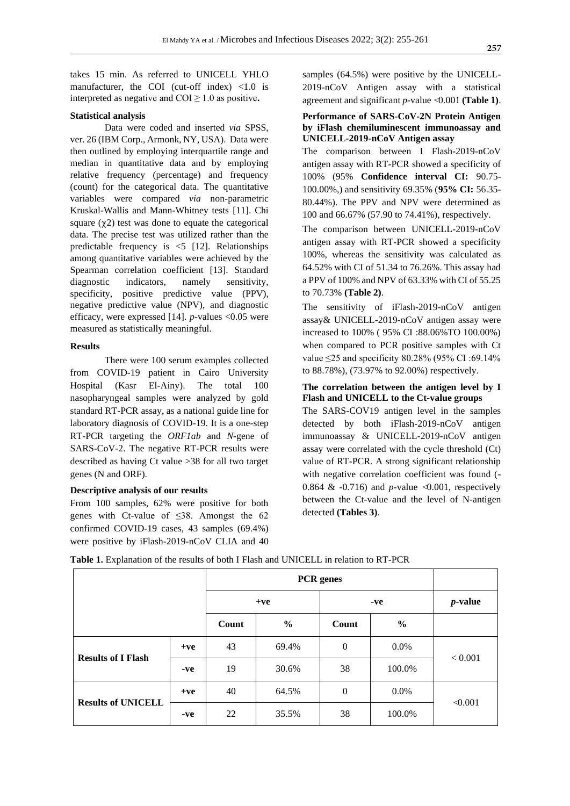takes 15 min. As referred to UNICELL YHLO manufacturer, the COI (cut-off index)  $\langle 1.0 \rangle$  is interpreted as negative and  $COI \geq 1.0$  as positive.

#### **Statistical analysis**

Data were coded and inserted *via* SPSS, ver. 26 (IBM Corp., Armonk, NY, USA). Data were then outlined by employing interquartile range and median in quantitative data and by employing relative frequency (percentage) and frequency (count) for the categorical data. The quantitative variables were compared *via* non-parametric Kruskal-Wallis and Mann-Whitney tests [11]. Chi square  $(\gamma 2)$  test was done to equate the categorical data. The precise test was utilized rather than the predictable frequency is  $\leq$  [12]. Relationships among quantitative variables were achieved by the Spearman correlation coefficient [13]. Standard diagnostic indicators, namely sensitivity, specificity, positive predictive value (PPV), negative predictive value (NPV), and diagnostic efficacy, were expressed [14]. *p*-values <0.05 were measured as statistically meaningful.

#### **Results**

There were 100 serum examples collected from COVID-19 patient in Cairo University Hospital (Kasr El-Ainy). The total 100 nasopharyngeal samples were analyzed by gold standard RT-PCR assay, as a national guide line for laboratory diagnosis of COVID-19. It is a one-step RT-PCR targeting the *ORF1ab* and *N-*gene of SARS-CoV-2. The negative RT-PCR results were described as having Ct value >38 for all two target genes (N and ORF).

## **Descriptive analysis of our results**

From 100 samples, 62% were positive for both genes with Ct-value of  $\leq$ 38. Amongst the 62 confirmed COVID-19 cases, 43 samples (69.4%) were positive by iFlash-2019-nCoV CLIA and 40 samples (64.5%) were positive by the UNICELL-2019-nCoV Antigen assay with a statistical agreement and significant *p*-value >0.001 **(Table 1)**.

# **Performance of SARS-CoV-2N Protein Antigen by iFlash chemiluminescent immunoassay and UNICELL-2019-nCoV Antigen assay**

The comparison between I Flash-2019-nCoV antigen assay with RT-PCR showed a specificity of 100% (95% **Confidence interval CI:** 90.75- 100.00%,) and sensitivity 69.35% (**95% CI:** 56.35- 80.44%). The PPV and NPV were determined as 100 and 66.67% (57.90 to 74.41%), respectively.

The comparison between UNICELL-2019-nCoV antigen assay with RT-PCR showed a specificity 100%, whereas the sensitivity was calculated as 64.52% with CI of 51.34 to 76.26%. This assay had a PPV of 100% and NPV of 63.33% with CI of 55.25 to 70.73% **(Table 2)**.

The sensitivity of iFlash-2019-nCoV antigen assay& UNICELL-2019-nCoV antigen assay were increased to 100% ( 95% CI :88.06%TO 100.00%) when compared to PCR positive samples with Ct value  $\leq$ 25 and specificity 80.28% (95% CI:69.14% to 88.78%), (73.97% to 92.00%) respectively.

# **The correlation between the antigen level by I Flash and UNICELL to the Ct-value groups**

The SARS-COV19 antigen level in the samples detected by both iFlash-2019-nCoV antigen immunoassay & UNICELL-2019-nCoV antigen assay were correlated with the cycle threshold (Ct) value of RT-PCR. A strong significant relationship with negative correlation coefficient was found (- 0.864 & -0.716) and *p*-value  $\triangleleft 0.001$ , respectively between the Ct-value and the level of N-antigen detected **(Tables 3)**.

|  |  |  | <b>Table 1.</b> Explanation of the results of both I Flash and UNICELL in relation to RT-PCR |  |
|--|--|--|----------------------------------------------------------------------------------------------|--|
|--|--|--|----------------------------------------------------------------------------------------------|--|

|                           |       | $+ve$ |               | -ve      |               | $p$ -value   |  |
|---------------------------|-------|-------|---------------|----------|---------------|--------------|--|
|                           |       | Count | $\frac{6}{9}$ | Count    | $\frac{0}{0}$ |              |  |
| <b>Results of I Flash</b> | $+ve$ | 43    | 69.4%         | $\theta$ | $0.0\%$       | < 0.001      |  |
|                           | $-ve$ | 19    | 30.6%         | 38       | 100.0%        |              |  |
| <b>Results of UNICELL</b> | $+ve$ | 40    | 64.5%         | $\theta$ | $0.0\%$       | $\leq 0.001$ |  |
|                           | $-ve$ | 22    | 35.5%         | 38       | 100.0%        |              |  |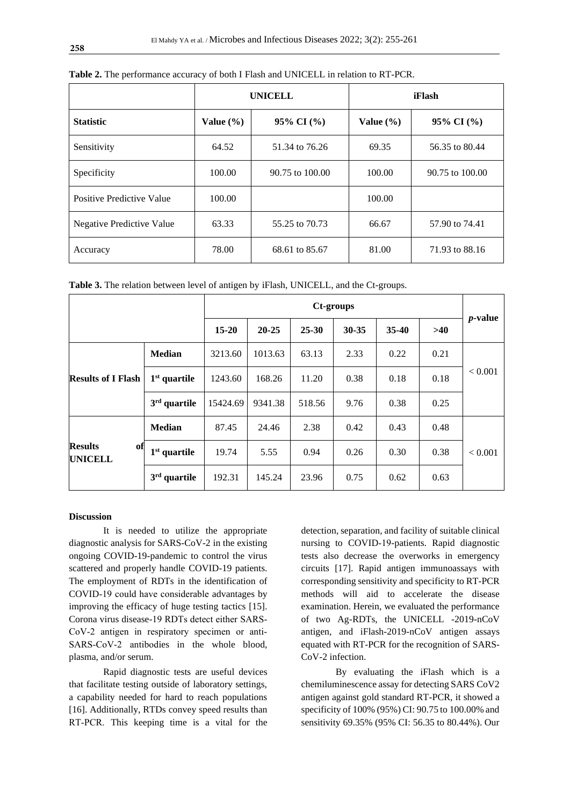|                           |               | <b>UNICELL</b>      | iFlash        |                     |  |  |
|---------------------------|---------------|---------------------|---------------|---------------------|--|--|
| <b>Statistic</b>          | Value $(\% )$ | 95% CI $(\%$        | Value $(\% )$ | $95\%$ CI $(\%$     |  |  |
| Sensitivity               | 64.52         | 51.34 to 76.26      | 69.35         | 56.35 to 80.44      |  |  |
| Specificity               | 100.00        | $90.75$ to $100.00$ | 100.00        | $90.75$ to $100.00$ |  |  |
| Positive Predictive Value | 100.00        |                     | 100.00        |                     |  |  |
| Negative Predictive Value | 63.33         | 55.25 to 70.73      | 66.67         | 57.90 to 74.41      |  |  |
| Accuracy                  | 78.00         | 68.61 to 85.67      | 81.00         | 71.93 to 88.16      |  |  |

**Table 2.** The performance accuracy of both I Flash and UNICELL in relation to RT-PCR.

**Table 3.** The relation between level of antigen by iFlash, UNICELL, and the Ct-groups.

|                                        |                | Ct-groups |           |           |         |      |            |                |
|----------------------------------------|----------------|-----------|-----------|-----------|---------|------|------------|----------------|
|                                        | $15 - 20$      | $20 - 25$ | $25 - 30$ | $30 - 35$ | $35-40$ | >40  | $p$ -value |                |
| <b>Results of I Flash</b>              | <b>Median</b>  | 3213.60   | 1013.63   | 63.13     | 2.33    | 0.22 | 0.21       |                |
|                                        | $1st$ quartile | 1243.60   | 168.26    | 11.20     | 0.38    | 0.18 | 0.18       | ${}_{< 0.001}$ |
|                                        | $3rd$ quartile | 15424.69  | 9341.38   | 518.56    | 9.76    | 0.38 | 0.25       |                |
| <b>Results</b><br>of<br><b>UNICELL</b> | <b>Median</b>  | 87.45     | 24.46     | 2.38      | 0.42    | 0.43 | 0.48       |                |
|                                        | $1st$ quartile | 19.74     | 5.55      | 0.94      | 0.26    | 0.30 | 0.38       | ${}_{< 0.001}$ |
|                                        | $3rd$ quartile | 192.31    | 145.24    | 23.96     | 0.75    | 0.62 | 0.63       |                |

# **Discussion**

It is needed to utilize the appropriate diagnostic analysis for SARS-CoV-2 in the existing ongoing COVID-19-pandemic to control the virus scattered and properly handle COVID-19 patients. The employment of RDTs in the identification of COVID‐19 could have considerable advantages by improving the efficacy of huge testing tactics [15]. Corona virus disease-19 RDTs detect either SARS‐ CoV-2 antigen in respiratory specimen or anti-SARS-CoV-2 antibodies in the whole blood, plasma, and/or serum.

Rapid diagnostic tests are useful devices that facilitate testing outside of laboratory settings, a capability needed for hard to reach populations [16]. Additionally, RTDs convey speed results than RT‐PCR. This keeping time is a vital for the

detection, separation, and facility of suitable clinical nursing to COVID‐19-patients. Rapid diagnostic tests also decrease the overworks in emergency circuits [17]. Rapid antigen immunoassays with corresponding sensitivity and specificity to RT-PCR methods will aid to accelerate the disease examination. Herein, we evaluated the performance of two Ag-RDTs, the UNICELL -2019-nCoV antigen, and iFlash-2019-nCoV antigen assays equated with RT-PCR for the recognition of SARS-CoV-2 infection.

By evaluating the iFlash which is a chemiluminescence assay for detecting SARS CoV2 antigen against gold standard RT-PCR, it showed a specificity of 100% (95%) CI: 90.75 to 100.00% and sensitivity 69.35% (95% CI: 56.35 to 80.44%). Our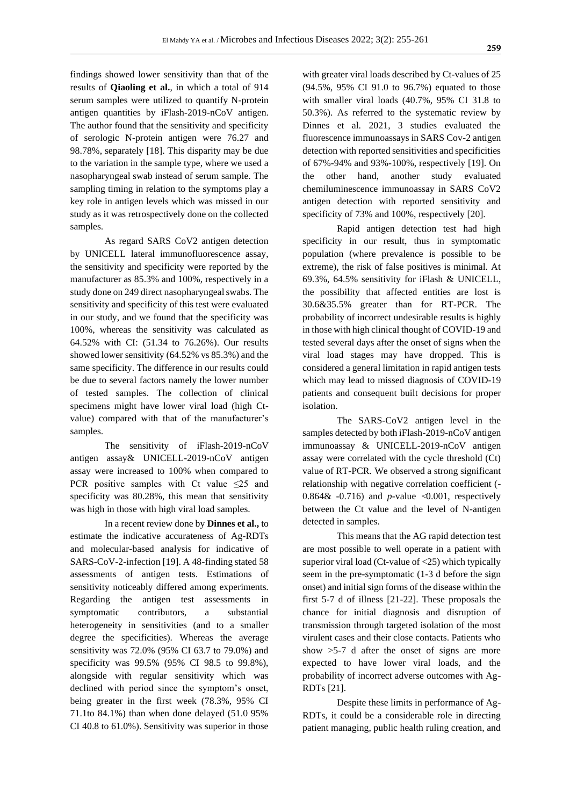findings showed lower sensitivity than that of the results of **Qiaoling et al.**, in which a total of 914 serum samples were utilized to quantify N-protein antigen quantities by iFlash-2019-nCoV antigen. The author found that the sensitivity and specificity of serologic N-protein antigen were 76.27 and 98.78%, separately [18]. This disparity may be due to the variation in the sample type, where we used a nasopharyngeal swab instead of serum sample. The sampling timing in relation to the symptoms play a key role in antigen levels which was missed in our study as it was retrospectively done on the collected samples.

As regard SARS CoV2 antigen detection by UNICELL lateral immunofluorescence assay, the sensitivity and specificity were reported by the manufacturer as 85.3% and 100%, respectively in a study done on 249 direct nasopharyngeal swabs. The sensitivity and specificity of this test were evaluated in our study, and we found that the specificity was 100%, whereas the sensitivity was calculated as 64.52% with CI: (51.34 to 76.26%). Our results showed lower sensitivity (64.52% vs 85.3%) and the same specificity. The difference in our results could be due to several factors namely the lower number of tested samples. The collection of clinical specimens might have lower viral load (high Ctvalue) compared with that of the manufacturer's samples.

The sensitivity of iFlash-2019-nCoV antigen assay& UNICELL-2019-nCoV antigen assay were increased to 100% when compared to PCR positive samples with Ct value  $\leq 25$  and specificity was 80.28%, this mean that sensitivity was high in those with high viral load samples.

In a recent review done by **Dinnes et al.,** to estimate the indicative accurateness of Ag-RDTs and molecular-based analysis for indicative of SARS-CoV-2-infection [19]. A 48-finding stated 58 assessments of antigen tests. Estimations of sensitivity noticeably differed among experiments. Regarding the antigen test assessments in symptomatic contributors, a substantial heterogeneity in sensitivities (and to a smaller degree the specificities). Whereas the average sensitivity was 72.0% (95% CI 63.7 to 79.0%) and specificity was 99.5% (95% CI 98.5 to 99.8%), alongside with regular sensitivity which was declined with period since the symptom's onset, being greater in the first week (78.3%, 95% CI 71.1to 84.1%) than when done delayed (51.0 95% CI 40.8 to 61.0%). Sensitivity was superior in those with greater viral loads described by Ct-values of 25 (94.5%, 95% CI 91.0 to 96.7%) equated to those with smaller viral loads (40.7%, 95% CI 31.8 to 50.3%). As referred to the systematic review by Dinnes et al. 2021, 3 studies evaluated the fluorescence immunoassays in SARS Cov-2 antigen detection with reported sensitivities and specificities of 67%-94% and 93%-100%, respectively [19]. On the other hand, another study evaluated chemiluminescence immunoassay in SARS CoV2 antigen detection with reported sensitivity and specificity of 73% and 100%, respectively [20].

Rapid antigen detection test had high specificity in our result, thus in symptomatic population (where prevalence is possible to be extreme), the risk of false positives is minimal. At 69.3%, 64.5% sensitivity for iFlash & UNICELL, the possibility that affected entities are lost is 30.6&35.5% greater than for RT-PCR. The probability of incorrect undesirable results is highly in those with high clinical thought of COVID-19 and tested several days after the onset of signs when the viral load stages may have dropped. This is considered a general limitation in rapid antigen tests which may lead to missed diagnosis of COVID-19 patients and consequent built decisions for proper isolation.

The SARS-CoV2 antigen level in the samples detected by both iFlash-2019-nCoV antigen immunoassay & UNICELL-2019-nCoV antigen assay were correlated with the cycle threshold (Ct) value of RT-PCR. We observed a strong significant relationship with negative correlation coefficient (- 0.864 $\&$  -0.716) and *p*-value  $\triangleleft$ 0.001, respectively between the Ct value and the level of N-antigen detected in samples.

This means that the AG rapid detection test are most possible to well operate in a patient with superior viral load (Ct-value of  $\langle 25 \rangle$ ) which typically seem in the pre-symptomatic (1-3 d before the sign onset) and initial sign forms of the disease within the first 5-7 d of illness [21-22]. These proposals the chance for initial diagnosis and disruption of transmission through targeted isolation of the most virulent cases and their close contacts. Patients who show >5-7 d after the onset of signs are more expected to have lower viral loads, and the probability of incorrect adverse outcomes with Ag-RDTs [21].

Despite these limits in performance of Ag-RDTs, it could be a considerable role in directing patient managing, public health ruling creation, and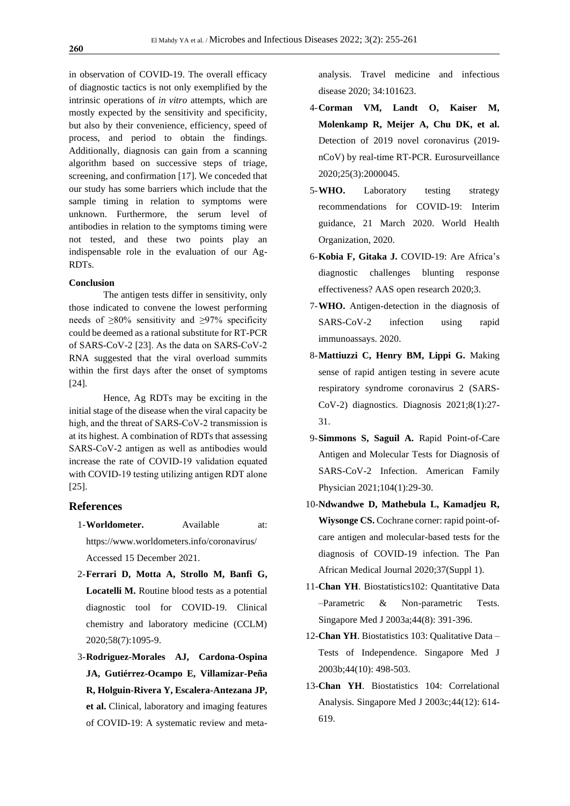in observation of COVID-19. The overall efficacy of diagnostic tactics is not only exemplified by the intrinsic operations of *in vitro* attempts, which are mostly expected by the sensitivity and specificity, but also by their convenience, efficiency, speed of process, and period to obtain the findings. Additionally, diagnosis can gain from a scanning algorithm based on successive steps of triage, screening, and confirmation [17]. We conceded that our study has some barriers which include that the sample timing in relation to symptoms were unknown. Furthermore, the serum level of antibodies in relation to the symptoms timing were not tested, and these two points play an indispensable role in the evaluation of our Ag-RDTs.

# **Conclusion**

The antigen tests differ in sensitivity, only those indicated to convene the lowest performing needs of  $\geq 80\%$  sensitivity and  $\geq 97\%$  specificity could be deemed as a rational substitute for RT-PCR of SARS-CoV-2 [23]. As the data on SARS‐CoV‐2 RNA suggested that the viral overload summits within the first days after the onset of symptoms [24].

Hence, Ag RDTs may be exciting in the initial stage of the disease when the viral capacity be high, and the threat of SARS‐CoV‐2 transmission is at its highest. A combination of RDTs that assessing SARS‐CoV‐2 antigen as well as antibodies would increase the rate of COVID‐19 validation equated with COVID-19 testing utilizing antigen RDT alone [25].

# **References**

- 1-**Worldometer.** Available at: https://www.worldometers.info/coronavirus/ Accessed 15 December 2021.
- 2-**Ferrari D, Motta A, Strollo M, Banfi G, Locatelli M.** Routine blood tests as a potential diagnostic tool for COVID-19. Clinical chemistry and laboratory medicine (CCLM) 2020;58(7):1095-9.
- 3-**Rodriguez-Morales AJ, Cardona-Ospina JA, Gutiérrez-Ocampo E, Villamizar-Peña R, Holguin-Rivera Y, Escalera-Antezana JP, et al.** Clinical, laboratory and imaging features of COVID-19: A systematic review and meta-

analysis. Travel medicine and infectious disease 2020; 34:101623.

- 4-**Corman VM, Landt O, Kaiser M, Molenkamp R, Meijer A, Chu DK, et al.** Detection of 2019 novel coronavirus (2019 nCoV) by real-time RT-PCR. Eurosurveillance 2020;25(3):2000045.
- 5-**WHO.** Laboratory testing strategy recommendations for COVID-19: Interim guidance, 21 March 2020. World Health Organization, 2020.
- 6-**Kobia F, Gitaka J.** COVID-19: Are Africa's diagnostic challenges blunting response effectiveness? AAS open research 2020;3.
- 7-**WHO.** Antigen-detection in the diagnosis of SARS-CoV-2 infection using rapid immunoassays. 2020.
- 8-**Mattiuzzi C, Henry BM, Lippi G.** Making sense of rapid antigen testing in severe acute respiratory syndrome coronavirus 2 (SARS-CoV-2) diagnostics. Diagnosis 2021;8(1):27- 31.
- 9-**Simmons S, Saguil A.** Rapid Point-of-Care Antigen and Molecular Tests for Diagnosis of SARS-CoV-2 Infection. American Family Physician 2021;104(1):29-30.
- 10-**Ndwandwe D, Mathebula L, Kamadjeu R, Wiysonge CS.** Cochrane corner: rapid point-ofcare antigen and molecular-based tests for the diagnosis of COVID-19 infection. The Pan African Medical Journal 2020;37(Suppl 1).
- 11-**Chan YH**. Biostatistics102: Quantitative Data –Parametric & Non-parametric Tests. Singapore Med J 2003a;44(8): 391-396.
- 12-**Chan YH**. Biostatistics 103: Qualitative Data Tests of Independence. Singapore Med J 2003b;44(10): 498-503.
- 13-**Chan YH**. Biostatistics 104: Correlational Analysis. Singapore Med J 2003c;44(12): 614- 619.